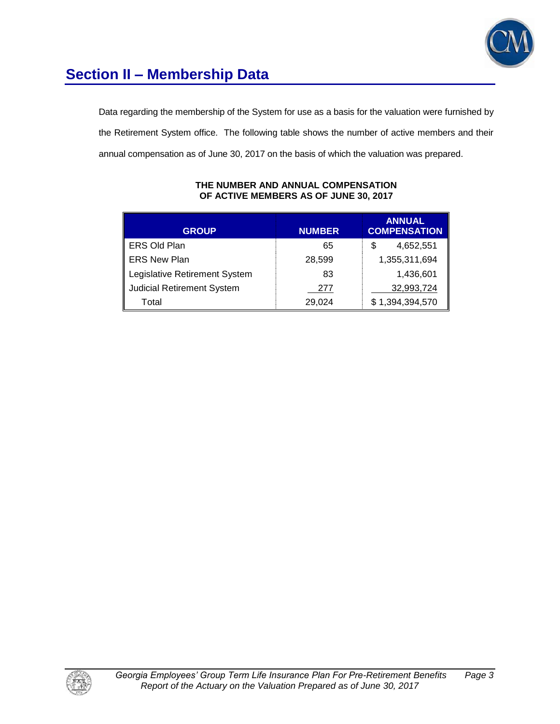

# **Section II – Membership Data**

Data regarding the membership of the System for use as a basis for the valuation were furnished by the Retirement System office. The following table shows the number of active members and their annual compensation as of June 30, 2017 on the basis of which the valuation was prepared.

| <b>GROUP</b>                      | <b>NUMBER</b> | <b>ANNUAL</b><br><b>COMPENSATION</b> |
|-----------------------------------|---------------|--------------------------------------|
| <b>ERS Old Plan</b>               | 65            | 4,652,551                            |
| <b>ERS New Plan</b>               | 28,599        | 1,355,311,694                        |
| Legislative Retirement System     | 83            | 1,436,601                            |
| <b>Judicial Retirement System</b> | 277           | 32,993,724                           |
| Total                             | 29,024        | \$1,394,394,570                      |

#### **THE NUMBER AND ANNUAL COMPENSATION OF ACTIVE MEMBERS AS OF JUNE 30, 2017**

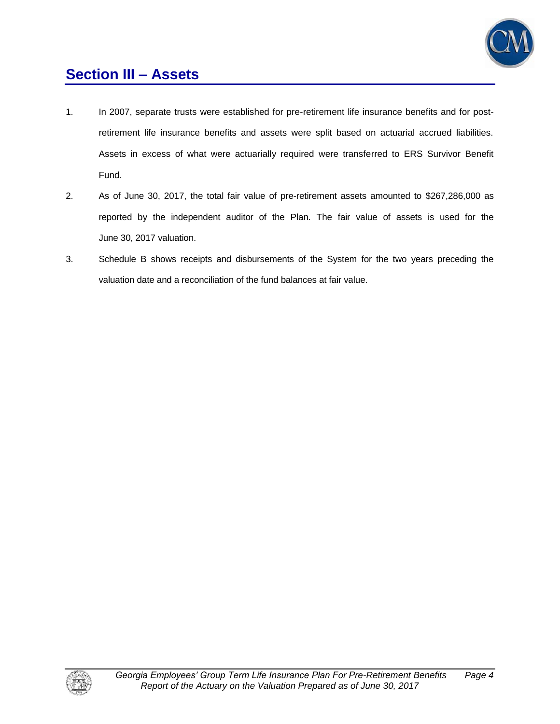

### **Section III – Assets**

- 1. In 2007, separate trusts were established for pre-retirement life insurance benefits and for postretirement life insurance benefits and assets were split based on actuarial accrued liabilities. Assets in excess of what were actuarially required were transferred to ERS Survivor Benefit Fund.
- 2. As of June 30, 2017, the total fair value of pre-retirement assets amounted to \$267,286,000 as reported by the independent auditor of the Plan. The fair value of assets is used for the June 30, 2017 valuation.
- 3. Schedule B shows receipts and disbursements of the System for the two years preceding the valuation date and a reconciliation of the fund balances at fair value.

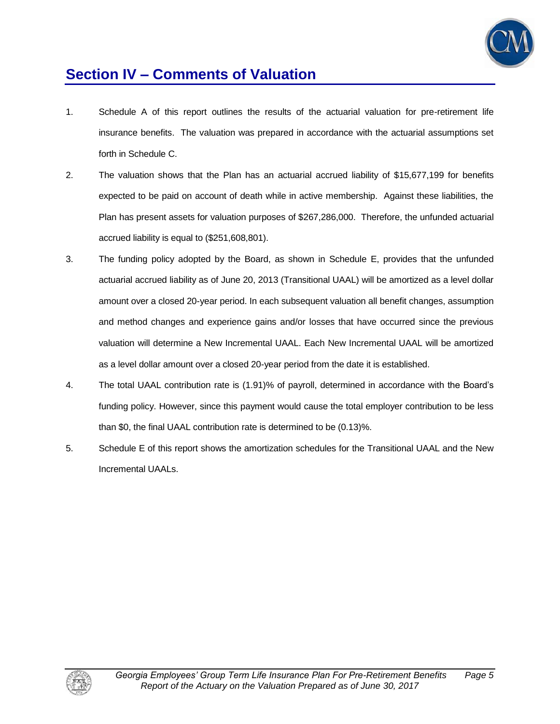

### **Section IV – Comments of Valuation**

- 1. Schedule A of this report outlines the results of the actuarial valuation for pre-retirement life insurance benefits. The valuation was prepared in accordance with the actuarial assumptions set forth in Schedule C.
- 2. The valuation shows that the Plan has an actuarial accrued liability of \$15,677,199 for benefits expected to be paid on account of death while in active membership. Against these liabilities, the Plan has present assets for valuation purposes of \$267,286,000. Therefore, the unfunded actuarial accrued liability is equal to (\$251,608,801).
- 3. The funding policy adopted by the Board, as shown in Schedule E, provides that the unfunded actuarial accrued liability as of June 20, 2013 (Transitional UAAL) will be amortized as a level dollar amount over a closed 20-year period. In each subsequent valuation all benefit changes, assumption and method changes and experience gains and/or losses that have occurred since the previous valuation will determine a New Incremental UAAL. Each New Incremental UAAL will be amortized as a level dollar amount over a closed 20-year period from the date it is established.
- 4. The total UAAL contribution rate is (1.91)% of payroll, determined in accordance with the Board's funding policy. However, since this payment would cause the total employer contribution to be less than \$0, the final UAAL contribution rate is determined to be (0.13)%.
- 5. Schedule E of this report shows the amortization schedules for the Transitional UAAL and the New Incremental UAALs.

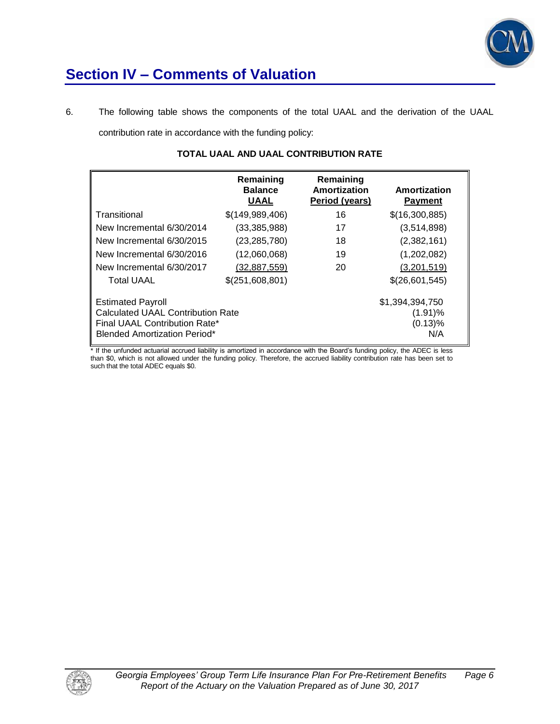

### **Section IV – Comments of Valuation**

6. The following table shows the components of the total UAAL and the derivation of the UAAL contribution rate in accordance with the funding policy:

|                                          | Remaining<br><b>Balance</b><br><b>UAAL</b> | Remaining<br>Amortization<br>Period (years) | Amortization<br><b>Payment</b> |
|------------------------------------------|--------------------------------------------|---------------------------------------------|--------------------------------|
| Transitional                             | \$(149,989,406)                            | 16                                          | \$(16,300,885)                 |
| New Incremental 6/30/2014                | (33, 385, 988)                             | 17                                          | (3,514,898)                    |
| New Incremental 6/30/2015                | (23, 285, 780)                             | 18                                          | (2,382,161)                    |
| New Incremental 6/30/2016                | (12,060,068)                               | 19                                          | (1,202,082)                    |
| New Incremental 6/30/2017                | (32, 887, 559)                             | 20                                          | (3,201,519)                    |
| <b>Total UAAL</b>                        | \$(251,608,801)                            |                                             | \$(26,601,545)                 |
| <b>Estimated Payroll</b>                 |                                            |                                             | \$1,394,394,750                |
| <b>Calculated UAAL Contribution Rate</b> |                                            |                                             | $(1.91)\%$                     |
| Final UAAL Contribution Rate*            |                                            |                                             | (0.13)%                        |
| <b>Blended Amortization Period*</b>      |                                            |                                             | N/A                            |

### **TOTAL UAAL AND UAAL CONTRIBUTION RATE**

\* If the unfunded actuarial accrued liability is amortized in accordance with the Board's funding policy, the ADEC is less than \$0, which is not allowed under the funding policy. Therefore, the accrued liability contribution rate has been set to such that the total ADEC equals \$0.

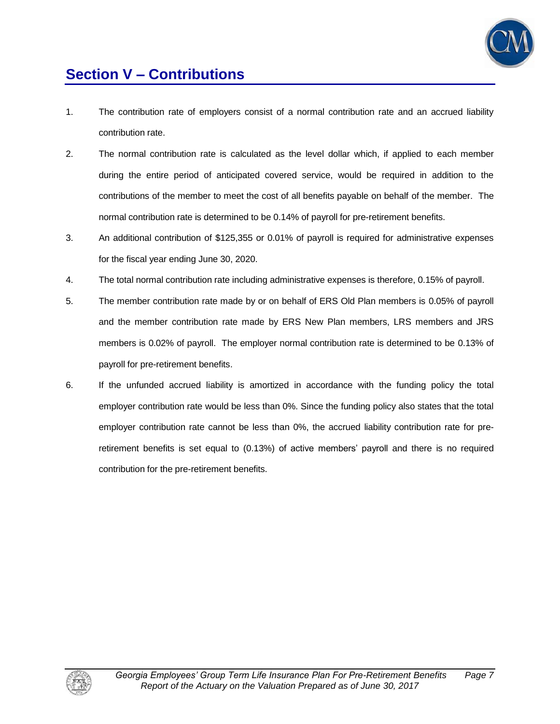

# **Section V – Contributions**

- 1. The contribution rate of employers consist of a normal contribution rate and an accrued liability contribution rate.
- 2. The normal contribution rate is calculated as the level dollar which, if applied to each member during the entire period of anticipated covered service, would be required in addition to the contributions of the member to meet the cost of all benefits payable on behalf of the member. The normal contribution rate is determined to be 0.14% of payroll for pre-retirement benefits.
- 3. An additional contribution of \$125,355 or 0.01% of payroll is required for administrative expenses for the fiscal year ending June 30, 2020.
- 4. The total normal contribution rate including administrative expenses is therefore, 0.15% of payroll.
- 5. The member contribution rate made by or on behalf of ERS Old Plan members is 0.05% of payroll and the member contribution rate made by ERS New Plan members, LRS members and JRS members is 0.02% of payroll. The employer normal contribution rate is determined to be 0.13% of payroll for pre-retirement benefits.
- 6. If the unfunded accrued liability is amortized in accordance with the funding policy the total employer contribution rate would be less than 0%. Since the funding policy also states that the total employer contribution rate cannot be less than 0%, the accrued liability contribution rate for preretirement benefits is set equal to (0.13%) of active members' payroll and there is no required contribution for the pre-retirement benefits.

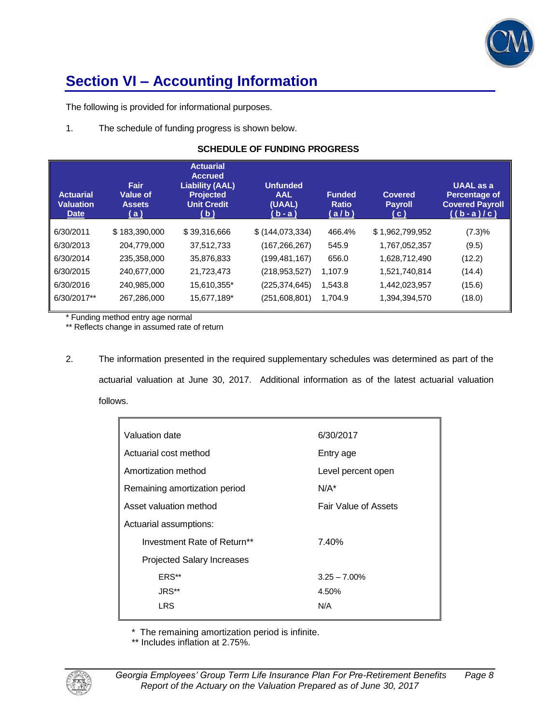

# **Section VI – Accounting Information**

The following is provided for informational purposes.

1. The schedule of funding progress is shown below.

### **SCHEDULE OF FUNDING PROGRESS**

| <b>Actuarial</b><br>Valuation<br><b>Date</b> | Fair<br>Value of<br><b>Assets</b><br>(a) | <b>Actuarial</b><br><b>Accrued</b><br><b>Liability (AAL)</b><br><b>Projected</b><br><b>Unit Credit</b><br>(b) | <b>Unfunded</b><br><b>AAL</b><br>(UAAL)<br>$(b - a)$ | <b>Funded</b><br><b>Ratio</b><br>(a/b) | <b>Covered</b><br><b>Payroll</b><br>(c) | <b>UAAL</b> as a<br>Percentage of<br><b>Covered Payroll</b><br>$((b-a)/c)$ |
|----------------------------------------------|------------------------------------------|---------------------------------------------------------------------------------------------------------------|------------------------------------------------------|----------------------------------------|-----------------------------------------|----------------------------------------------------------------------------|
| 6/30/2011                                    | \$183,390,000                            | \$39,316,666                                                                                                  | \$(144, 073, 334)                                    | 466.4%                                 | \$1,962,799,952                         | (7.3)%                                                                     |
| 6/30/2013                                    | 204,779,000                              | 37,512,733                                                                                                    | (167,266,267)                                        | 545.9                                  | 1,767,052,357                           | (9.5)                                                                      |
| 6/30/2014                                    | 235,358,000                              | 35,876,833                                                                                                    | (199, 481, 167)                                      | 656.0                                  | 1,628,712,490                           | (12.2)                                                                     |
| 6/30/2015                                    | 240,677,000                              | 21,723,473                                                                                                    | (218, 953, 527)                                      | 1.107.9                                | 1,521,740,814                           | (14.4)                                                                     |
| 6/30/2016                                    | 240,985,000                              | 15,610,355*                                                                                                   | (225, 374, 645)                                      | 1,543.8                                | 1,442,023,957                           | (15.6)                                                                     |
| 6/30/2017**                                  | 267,286,000                              | 15,677,189*                                                                                                   | (251,608,801)                                        | 1.704.9                                | 1,394,394,570                           | (18.0)                                                                     |

\* Funding method entry age normal

\*\* Reflects change in assumed rate of return

2. The information presented in the required supplementary schedules was determined as part of the actuarial valuation at June 30, 2017. Additional information as of the latest actuarial valuation follows.

| Valuation date                    | 6/30/2017                   |
|-----------------------------------|-----------------------------|
| Actuarial cost method             | Entry age                   |
| Amortization method               | Level percent open          |
| Remaining amortization period     | $N/A^*$                     |
| Asset valuation method            | <b>Fair Value of Assets</b> |
| Actuarial assumptions:            |                             |
| Investment Rate of Return**       | 7.40%                       |
| <b>Projected Salary Increases</b> |                             |
| ERS**                             | $3.25 - 7.00\%$             |
| JRS**                             | 4.50%                       |
| <b>LRS</b>                        | N/A                         |
|                                   |                             |

\* The remaining amortization period is infinite.

\*\* Includes inflation at 2.75%.

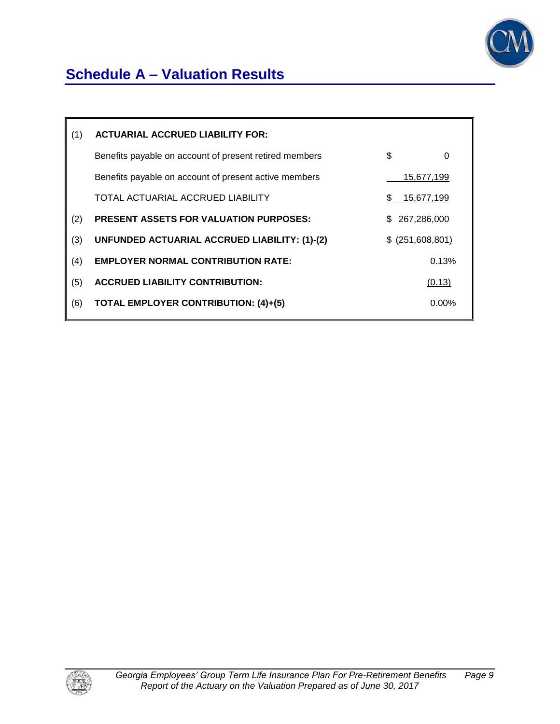

# **Schedule A – Valuation Results**

| (1) | <b>ACTUARIAL ACCRUED LIABILITY FOR:</b>                |     |                   |
|-----|--------------------------------------------------------|-----|-------------------|
|     | Benefits payable on account of present retired members | \$  | 0                 |
|     | Benefits payable on account of present active members  |     | 15,677,199        |
|     | TOTAL ACTUARIAL ACCRUED LIABILITY                      | S.  | <u>15,677,199</u> |
| (2) | <b>PRESENT ASSETS FOR VALUATION PURPOSES:</b>          | \$. | 267,286,000       |
| (3) | UNFUNDED ACTUARIAL ACCRUED LIABILITY: (1)-(2)          |     | \$ (251,608,801)  |
| (4) | <b>EMPLOYER NORMAL CONTRIBUTION RATE:</b>              |     | 0.13%             |
| (5) | <b>ACCRUED LIABILITY CONTRIBUTION:</b>                 |     | (0.13)            |
| (6) | <b>TOTAL EMPLOYER CONTRIBUTION: (4)+(5)</b>            |     | $0.00\%$          |
|     |                                                        |     |                   |

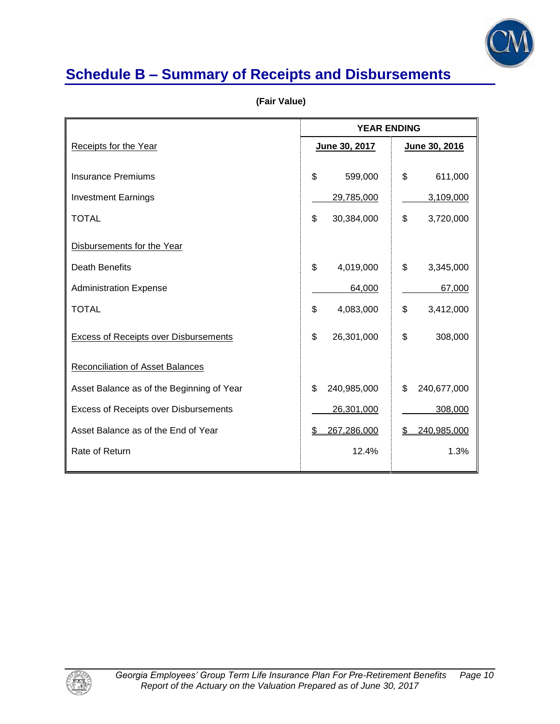

# **Schedule B – Summary of Receipts and Disbursements**

|                                              | <b>YEAR ENDING</b> |                   |
|----------------------------------------------|--------------------|-------------------|
| Receipts for the Year                        | June 30, 2017      | June 30, 2016     |
|                                              |                    |                   |
| <b>Insurance Premiums</b>                    | \$<br>599,000      | \$<br>611,000     |
| <b>Investment Earnings</b>                   | 29,785,000         | 3,109,000         |
| <b>TOTAL</b>                                 | \$<br>30,384,000   | \$<br>3,720,000   |
| Disbursements for the Year                   |                    |                   |
| Death Benefits                               | \$<br>4,019,000    | \$<br>3,345,000   |
| <b>Administration Expense</b>                | 64,000             | 67,000            |
| <b>TOTAL</b>                                 | \$<br>4,083,000    | \$<br>3,412,000   |
| <b>Excess of Receipts over Disbursements</b> | \$<br>26,301,000   | \$<br>308,000     |
| Reconciliation of Asset Balances             |                    |                   |
| Asset Balance as of the Beginning of Year    | \$<br>240,985,000  | \$<br>240,677,000 |
| <b>Excess of Receipts over Disbursements</b> | 26,301,000         | 308,000           |
| Asset Balance as of the End of Year          | 267,286,000<br>S   | 240,985,000<br>S  |
| Rate of Return                               | 12.4%              | 1.3%              |
|                                              |                    |                   |

 **(Fair Value)** 

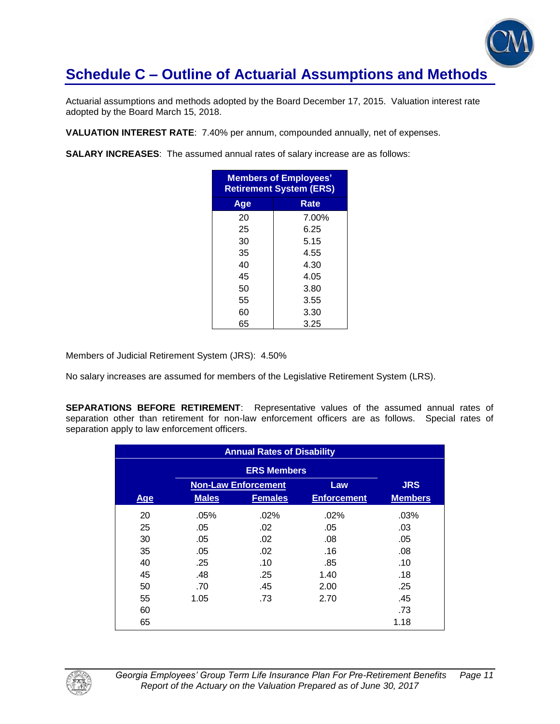

Actuarial assumptions and methods adopted by the Board December 17, 2015. Valuation interest rate adopted by the Board March 15, 2018.

**VALUATION INTEREST RATE**: 7.40% per annum, compounded annually, net of expenses.

**SALARY INCREASES**: The assumed annual rates of salary increase are as follows:

| <b>Members of Employees'</b><br><b>Retirement System (ERS)</b> |       |  |  |  |  |
|----------------------------------------------------------------|-------|--|--|--|--|
| Rate<br>Age                                                    |       |  |  |  |  |
| 20                                                             | 7.00% |  |  |  |  |
| 25                                                             | 6.25  |  |  |  |  |
| 30                                                             | 5.15  |  |  |  |  |
| 35                                                             | 4.55  |  |  |  |  |
| 40                                                             | 4.30  |  |  |  |  |
| 45                                                             | 4.05  |  |  |  |  |
| 50                                                             | 3.80  |  |  |  |  |
| 55                                                             | 3.55  |  |  |  |  |
| 60                                                             | 3.30  |  |  |  |  |
| 65                                                             | 3.25  |  |  |  |  |

Members of Judicial Retirement System (JRS): 4.50%

No salary increases are assumed for members of the Legislative Retirement System (LRS).

**SEPARATIONS BEFORE RETIREMENT**: Representative values of the assumed annual rates of separation other than retirement for non-law enforcement officers are as follows. Special rates of separation apply to law enforcement officers.

| <b>Annual Rates of Disability</b> |              |                            |                    |                |  |
|-----------------------------------|--------------|----------------------------|--------------------|----------------|--|
|                                   |              |                            |                    |                |  |
|                                   |              | <b>Non-Law Enforcement</b> | Law                | <b>JRS</b>     |  |
| Age                               | <b>Males</b> | <b>Females</b>             | <b>Enforcement</b> | <b>Members</b> |  |
| 20                                | .05%         | .02%                       | .02%               | .03%           |  |
| 25                                | .05          | .02                        | .05                | .03            |  |
| 30                                | .05          | .02                        | .08                | .05            |  |
| 35                                | .05          | .02                        | .16                | .08            |  |
| 40                                | .25          | .10                        | .85                | .10            |  |
| 45                                | .48          | .25                        | 1.40               | .18            |  |
| 50                                | .70          | .45                        | 2.00               | .25            |  |
| 55                                | 1.05         | .73                        | 2.70               | .45            |  |
| 60                                |              |                            |                    | .73            |  |
| 65                                |              |                            |                    | 1.18           |  |

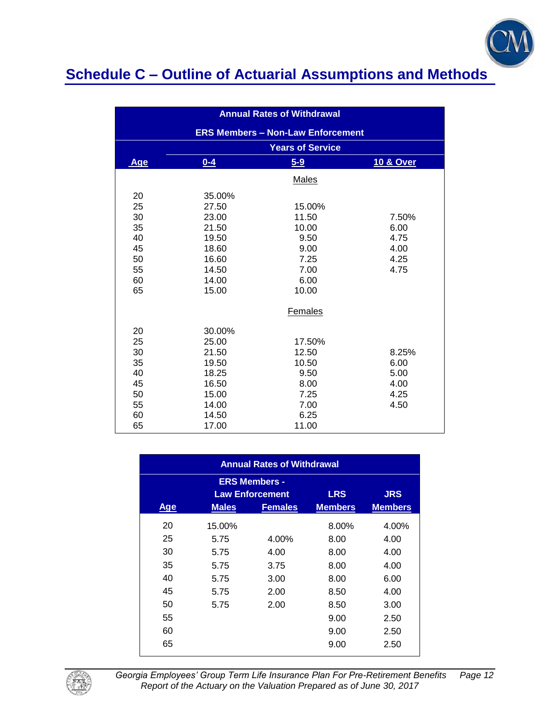

| <b>Annual Rates of Withdrawal</b> |                                          |                         |                      |  |  |  |  |
|-----------------------------------|------------------------------------------|-------------------------|----------------------|--|--|--|--|
|                                   | <b>ERS Members - Non-Law Enforcement</b> |                         |                      |  |  |  |  |
|                                   |                                          | <b>Years of Service</b> |                      |  |  |  |  |
| Age                               | $0 - 4$                                  | $5-9$                   | <b>10 &amp; Over</b> |  |  |  |  |
|                                   |                                          | <b>Males</b>            |                      |  |  |  |  |
| 20                                | 35.00%                                   |                         |                      |  |  |  |  |
| 25                                | 27.50                                    | 15.00%                  |                      |  |  |  |  |
| 30                                | 23.00                                    | 11.50                   | 7.50%                |  |  |  |  |
| 35                                | 21.50                                    | 10.00                   | 6.00                 |  |  |  |  |
| 40                                | 19.50                                    | 9.50                    | 4.75                 |  |  |  |  |
| 45                                | 18.60<br>9.00<br>4.00                    |                         |                      |  |  |  |  |
| 50                                | 16.60                                    | 7.25                    | 4.25                 |  |  |  |  |
| 55                                | 14.50                                    | 7.00                    | 4.75                 |  |  |  |  |
| 60                                | 14.00                                    | 6.00                    |                      |  |  |  |  |
| 65                                | 15.00                                    | 10.00                   |                      |  |  |  |  |
|                                   |                                          | Females                 |                      |  |  |  |  |
| 20                                | 30.00%                                   |                         |                      |  |  |  |  |
| 25                                | 25.00                                    | 17.50%                  |                      |  |  |  |  |
| 30                                | 21.50                                    | 12.50                   | 8.25%                |  |  |  |  |
| 35                                | 19.50                                    | 10.50                   | 6.00                 |  |  |  |  |
| 40                                | 18.25                                    | 9.50                    | 5.00                 |  |  |  |  |
| 45                                | 16.50                                    | 8.00                    | 4.00                 |  |  |  |  |
| 50                                | 15.00                                    | 7.25                    | 4.25                 |  |  |  |  |
| 55                                | 14.00                                    | 7.00                    | 4.50                 |  |  |  |  |
| 60                                | 14.50                                    | 6.25                    |                      |  |  |  |  |
| 65                                | 17.00                                    | 11.00                   |                      |  |  |  |  |

| <b>Annual Rates of Withdrawal</b>                                          |              |                |                |                |  |  |  |
|----------------------------------------------------------------------------|--------------|----------------|----------------|----------------|--|--|--|
| <b>ERS Members -</b><br><b>LRS</b><br><b>JRS</b><br><b>Law Enforcement</b> |              |                |                |                |  |  |  |
| <b>Age</b>                                                                 | <b>Males</b> | <b>Females</b> | <b>Members</b> | <b>Members</b> |  |  |  |
| 20                                                                         | 15.00%       |                | 8.00%          | 4.00%          |  |  |  |
| 25                                                                         | 5.75         | 4.00%          | 8.00           | 4.00           |  |  |  |
| 30                                                                         | 5.75         | 4.00           | 8.00           | 4.00           |  |  |  |
| 35                                                                         | 5.75         | 3.75           | 8.00           | 4.00           |  |  |  |
| 40                                                                         | 5.75         | 3.00           | 8.00           | 6.00           |  |  |  |
| 45                                                                         | 5.75         | 2.00           | 8.50           | 4.00           |  |  |  |
| 50                                                                         | 5.75         | 2.00           | 8.50           | 3.00           |  |  |  |
| 55                                                                         |              |                | 9.00           | 2.50           |  |  |  |
| 60                                                                         |              |                | 9.00           | 2.50           |  |  |  |
| 65                                                                         |              |                | 9.00           | 2.50           |  |  |  |



*Georgia Employees' Group Term Life Insurance Plan For Pre-Retirement Benefits Page 12 Report of the Actuary on the Valuation Prepared as of June 30, 2017*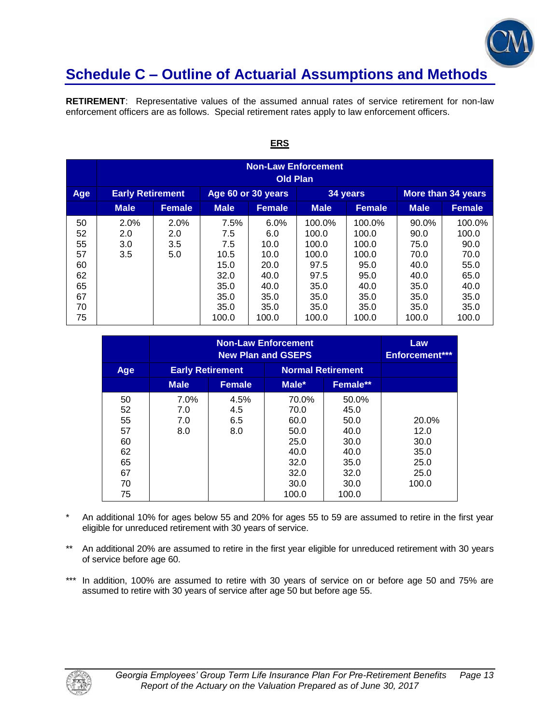

**RETIREMENT**: Representative values of the assumed annual rates of service retirement for non-law enforcement officers are as follows. Special retirement rates apply to law enforcement officers.

|                                                          | <b>Non-Law Enforcement</b><br><b>Old Plan</b> |                                                                                 |                                                                             |                                                                              |                                                                                    |                                                                                    |                                                                                |                                                                                  |  |  |
|----------------------------------------------------------|-----------------------------------------------|---------------------------------------------------------------------------------|-----------------------------------------------------------------------------|------------------------------------------------------------------------------|------------------------------------------------------------------------------------|------------------------------------------------------------------------------------|--------------------------------------------------------------------------------|----------------------------------------------------------------------------------|--|--|
| Age                                                      |                                               | <b>Early Retirement</b><br>Age 60 or 30 years<br>More than 34 years<br>34 years |                                                                             |                                                                              |                                                                                    |                                                                                    |                                                                                |                                                                                  |  |  |
|                                                          | <b>Male</b>                                   | <b>Female</b>                                                                   | <b>Male</b>                                                                 | <b>Female</b>                                                                | <b>Male</b>                                                                        | <b>Female</b>                                                                      | <b>Male</b>                                                                    | <b>Female</b>                                                                    |  |  |
| 50<br>52<br>55<br>57<br>60<br>62<br>65<br>67<br>70<br>75 | 2.0%<br>2.0<br>3.0<br>3.5                     | 2.0%<br>2.0<br>3.5<br>5.0                                                       | 7.5%<br>7.5<br>7.5<br>10.5<br>15.0<br>32.0<br>35.0<br>35.0<br>35.0<br>100.0 | 6.0%<br>6.0<br>10.0<br>10.0<br>20.0<br>40.0<br>40.0<br>35.0<br>35.0<br>100.0 | 100.0%<br>100.0<br>100.0<br>100.0<br>97.5<br>97.5<br>35.0<br>35.0<br>35.0<br>100.0 | 100.0%<br>100.0<br>100.0<br>100.0<br>95.0<br>95.0<br>40.0<br>35.0<br>35.0<br>100.0 | 90.0%<br>90.0<br>75.0<br>70.0<br>40.0<br>40.0<br>35.0<br>35.0<br>35.0<br>100.0 | 100.0%<br>100.0<br>90.0<br>70.0<br>55.0<br>65.0<br>40.0<br>35.0<br>35.0<br>100.0 |  |  |

#### **ERS**

|                                                          |                           | Law<br><b>Enforcement***</b> |                                                                                |                                                                                |                                                        |
|----------------------------------------------------------|---------------------------|------------------------------|--------------------------------------------------------------------------------|--------------------------------------------------------------------------------|--------------------------------------------------------|
| Age                                                      | <b>Early Retirement</b>   |                              | <b>Normal Retirement</b>                                                       |                                                                                |                                                        |
|                                                          | <b>Male</b>               | <b>Female</b>                | Male*                                                                          | Female**                                                                       |                                                        |
| 50<br>52<br>55<br>57<br>60<br>62<br>65<br>67<br>70<br>75 | 7.0%<br>7.0<br>7.0<br>8.0 | 4.5%<br>4.5<br>6.5<br>8.0    | 70.0%<br>70.0<br>60.0<br>50.0<br>25.0<br>40.0<br>32.0<br>32.0<br>30.0<br>100.0 | 50.0%<br>45.0<br>50.0<br>40.0<br>30.0<br>40.0<br>35.0<br>32.0<br>30.0<br>100.0 | 20.0%<br>12.0<br>30.0<br>35.0<br>25.0<br>25.0<br>100.0 |

- \* An additional 10% for ages below 55 and 20% for ages 55 to 59 are assumed to retire in the first year eligible for unreduced retirement with 30 years of service.
- \*\* An additional 20% are assumed to retire in the first year eligible for unreduced retirement with 30 years of service before age 60.
- \*\*\* In addition, 100% are assumed to retire with 30 years of service on or before age 50 and 75% are assumed to retire with 30 years of service after age 50 but before age 55.

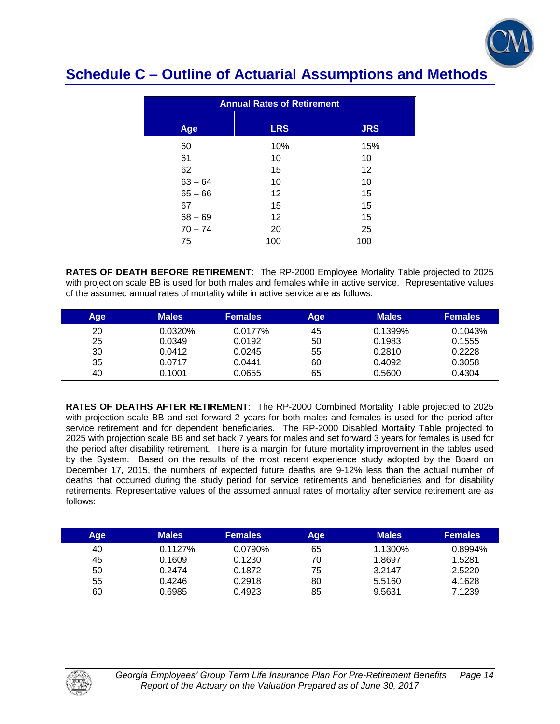

| <b>Annual Rates of Retirement</b> |                   |            |  |  |
|-----------------------------------|-------------------|------------|--|--|
| Age                               | <b>LRS</b>        | <b>JRS</b> |  |  |
| 60                                | 10%               | 15%        |  |  |
| 61                                | 10                | 10         |  |  |
| 62                                | 15                | 12         |  |  |
| $63 - 64$                         | 10                | 10         |  |  |
| $65 - 66$                         | $12 \overline{ }$ | 15         |  |  |
| 67                                | 15                | 15         |  |  |
| $68 - 69$                         | $12 \overline{ }$ | 15         |  |  |
| $70 - 74$                         | 20                | 25         |  |  |
| 75                                | 100               | 100        |  |  |

**RATES OF DEATH BEFORE RETIREMENT**: The RP-2000 Employee Mortality Table projected to 2025 with projection scale BB is used for both males and females while in active service. Representative values of the assumed annual rates of mortality while in active service are as follows:

| Age | <b>Males</b> | <b>Females</b> | Age | <b>Males</b> | <b>Females</b> |
|-----|--------------|----------------|-----|--------------|----------------|
| 20  | 0.0320%      | 0.0177%        | 45  | 0.1399%      | 0.1043%        |
| 25  | 0.0349       | 0.0192         | 50  | 0.1983       | 0.1555         |
| 30  | 0.0412       | 0.0245         | 55  | 0.2810       | 0.2228         |
| 35  | 0.0717       | 0.0441         | 60  | 0.4092       | 0.3058         |
| 40  | 0.1001       | 0.0655         | 65  | 0.5600       | 0.4304         |

**RATES OF DEATHS AFTER RETIREMENT**: The RP-2000 Combined Mortality Table projected to 2025 with projection scale BB and set forward 2 years for both males and females is used for the period after service retirement and for dependent beneficiaries. The RP-2000 Disabled Mortality Table projected to 2025 with projection scale BB and set back 7 years for males and set forward 3 years for females is used for the period after disability retirement. There is a margin for future mortality improvement in the tables used by the System. Based on the results of the most recent experience study adopted by the Board on December 17, 2015, the numbers of expected future deaths are 9-12% less than the actual number of deaths that occurred during the study period for service retirements and beneficiaries and for disability retirements. Representative values of the assumed annual rates of mortality after service retirement are as follows:

| Age | <b>Males</b> | <b>Females</b> | Age | <b>Males</b> | <b>Females</b> |
|-----|--------------|----------------|-----|--------------|----------------|
| 40  | $0.1127\%$   | 0.0790%        | 65  | 1.1300%      | 0.8994%        |
| 45  | 0.1609       | 0.1230         | 70  | 1.8697       | 1.5281         |
| 50  | 0.2474       | 0.1872         | 75  | 3.2147       | 2.5220         |
| 55  | 0.4246       | 0.2918         | 80  | 5.5160       | 4.1628         |
| 60  | 0.6985       | 0.4923         | 85  | 9.5631       | 7.1239         |

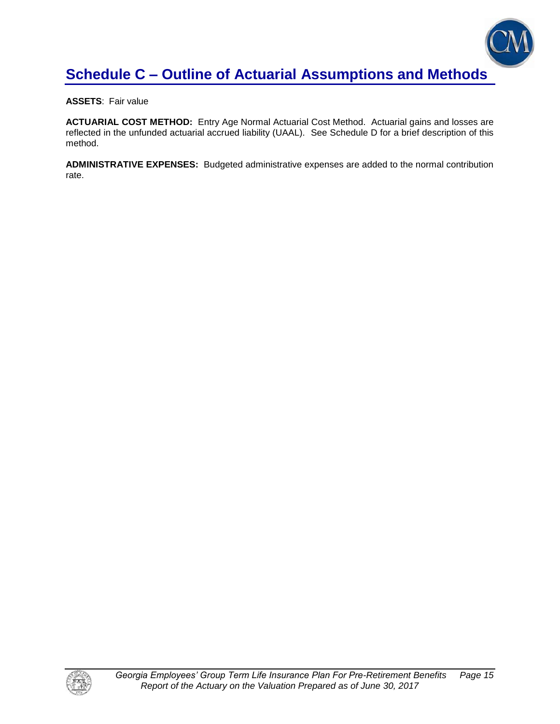

**ASSETS**: Fair value

**ACTUARIAL COST METHOD:** Entry Age Normal Actuarial Cost Method. Actuarial gains and losses are reflected in the unfunded actuarial accrued liability (UAAL). See Schedule D for a brief description of this method.

**ADMINISTRATIVE EXPENSES:** Budgeted administrative expenses are added to the normal contribution rate.

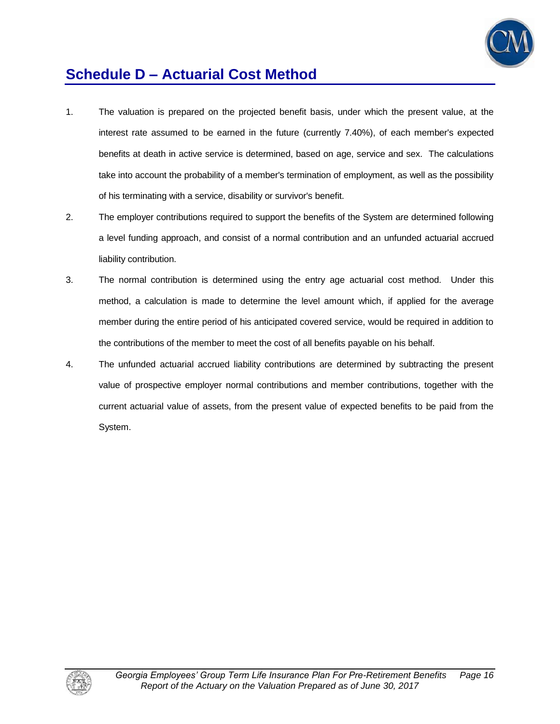

## **Schedule D – Actuarial Cost Method**

- 1. The valuation is prepared on the projected benefit basis, under which the present value, at the interest rate assumed to be earned in the future (currently 7.40%), of each member's expected benefits at death in active service is determined, based on age, service and sex. The calculations take into account the probability of a member's termination of employment, as well as the possibility of his terminating with a service, disability or survivor's benefit.
- 2. The employer contributions required to support the benefits of the System are determined following a level funding approach, and consist of a normal contribution and an unfunded actuarial accrued liability contribution.
- 3. The normal contribution is determined using the entry age actuarial cost method. Under this method, a calculation is made to determine the level amount which, if applied for the average member during the entire period of his anticipated covered service, would be required in addition to the contributions of the member to meet the cost of all benefits payable on his behalf.
- 4. The unfunded actuarial accrued liability contributions are determined by subtracting the present value of prospective employer normal contributions and member contributions, together with the current actuarial value of assets, from the present value of expected benefits to be paid from the System.

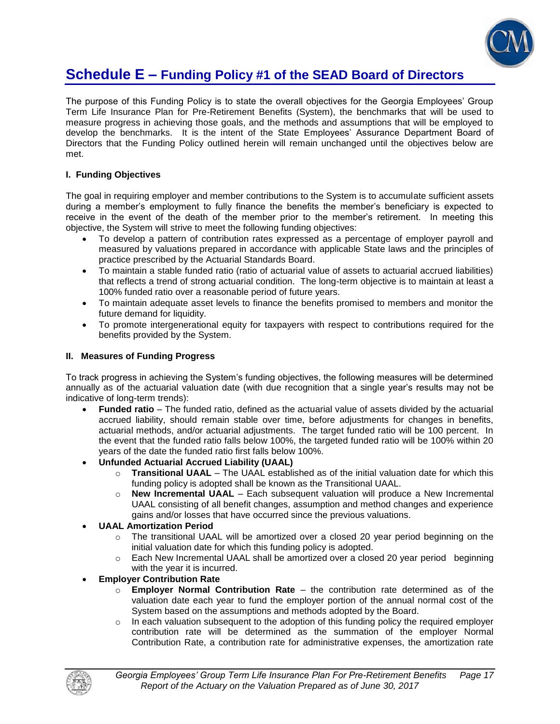

### **Schedule E – Funding Policy #1 of the SEAD Board of Directors**

The purpose of this Funding Policy is to state the overall objectives for the Georgia Employees' Group Term Life Insurance Plan for Pre-Retirement Benefits (System), the benchmarks that will be used to measure progress in achieving those goals, and the methods and assumptions that will be employed to develop the benchmarks. It is the intent of the State Employees' Assurance Department Board of Directors that the Funding Policy outlined herein will remain unchanged until the objectives below are met.

### **I. Funding Objectives**

The goal in requiring employer and member contributions to the System is to accumulate sufficient assets during a member's employment to fully finance the benefits the member's beneficiary is expected to receive in the event of the death of the member prior to the member's retirement. In meeting this objective, the System will strive to meet the following funding objectives:

- To develop a pattern of contribution rates expressed as a percentage of employer payroll and measured by valuations prepared in accordance with applicable State laws and the principles of practice prescribed by the Actuarial Standards Board.
- To maintain a stable funded ratio (ratio of actuarial value of assets to actuarial accrued liabilities) that reflects a trend of strong actuarial condition. The long-term objective is to maintain at least a 100% funded ratio over a reasonable period of future years.
- To maintain adequate asset levels to finance the benefits promised to members and monitor the future demand for liquidity.
- To promote intergenerational equity for taxpayers with respect to contributions required for the benefits provided by the System.

#### **II. Measures of Funding Progress**

To track progress in achieving the System's funding objectives, the following measures will be determined annually as of the actuarial valuation date (with due recognition that a single year's results may not be indicative of long-term trends):

- **Funded ratio** The funded ratio, defined as the actuarial value of assets divided by the actuarial accrued liability, should remain stable over time, before adjustments for changes in benefits, actuarial methods, and/or actuarial adjustments. The target funded ratio will be 100 percent. In the event that the funded ratio falls below 100%, the targeted funded ratio will be 100% within 20 years of the date the funded ratio first falls below 100%.
- **Unfunded Actuarial Accrued Liability (UAAL)**
	- o **Transitional UAAL** The UAAL established as of the initial valuation date for which this funding policy is adopted shall be known as the Transitional UAAL.
	- o **New Incremental UAAL** Each subsequent valuation will produce a New Incremental UAAL consisting of all benefit changes, assumption and method changes and experience gains and/or losses that have occurred since the previous valuations.
- **UAAL Amortization Period** 
	- o The transitional UAAL will be amortized over a closed 20 year period beginning on the initial valuation date for which this funding policy is adopted.
	- $\circ$  Each New Incremental UAAL shall be amortized over a closed 20 year period beginning with the year it is incurred.
- **Employer Contribution Rate**
	- o **Employer Normal Contribution Rate**  the contribution rate determined as of the valuation date each year to fund the employer portion of the annual normal cost of the System based on the assumptions and methods adopted by the Board.
	- $\circ$  In each valuation subsequent to the adoption of this funding policy the required employer contribution rate will be determined as the summation of the employer Normal Contribution Rate, a contribution rate for administrative expenses, the amortization rate

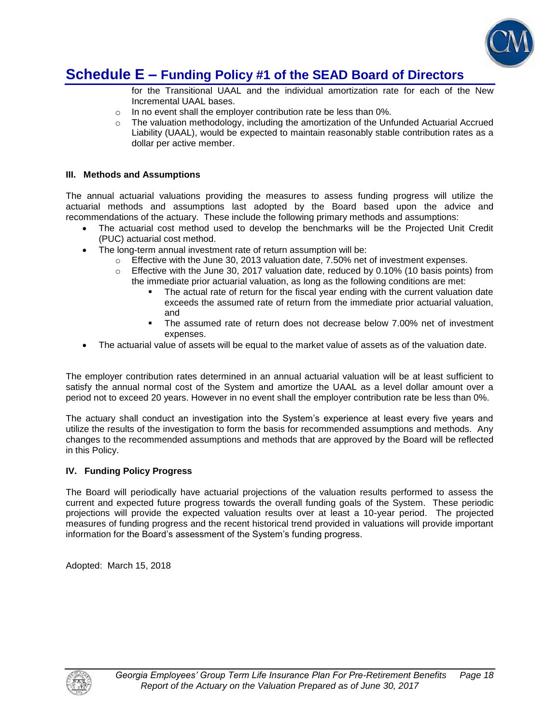

### **Schedule E – Funding Policy #1 of the SEAD Board of Directors**

for the Transitional UAAL and the individual amortization rate for each of the New Incremental UAAL bases.

- o In no event shall the employer contribution rate be less than 0%.
- $\circ$  The valuation methodology, including the amortization of the Unfunded Actuarial Accrued Liability (UAAL), would be expected to maintain reasonably stable contribution rates as a dollar per active member.

#### **III. Methods and Assumptions**

The annual actuarial valuations providing the measures to assess funding progress will utilize the actuarial methods and assumptions last adopted by the Board based upon the advice and recommendations of the actuary. These include the following primary methods and assumptions:

- The actuarial cost method used to develop the benchmarks will be the Projected Unit Credit (PUC) actuarial cost method.
- The long-term annual investment rate of return assumption will be:
	- $\circ$  Effective with the June 30, 2013 valuation date, 7.50% net of investment expenses.
	- o Effective with the June 30, 2017 valuation date, reduced by 0.10% (10 basis points) from the immediate prior actuarial valuation, as long as the following conditions are met:
		- The actual rate of return for the fiscal year ending with the current valuation date exceeds the assumed rate of return from the immediate prior actuarial valuation, and
		- The assumed rate of return does not decrease below 7.00% net of investment expenses.
- The actuarial value of assets will be equal to the market value of assets as of the valuation date.

The employer contribution rates determined in an annual actuarial valuation will be at least sufficient to satisfy the annual normal cost of the System and amortize the UAAL as a level dollar amount over a period not to exceed 20 years. However in no event shall the employer contribution rate be less than 0%.

The actuary shall conduct an investigation into the System's experience at least every five years and utilize the results of the investigation to form the basis for recommended assumptions and methods. Any changes to the recommended assumptions and methods that are approved by the Board will be reflected in this Policy.

#### **IV. Funding Policy Progress**

The Board will periodically have actuarial projections of the valuation results performed to assess the current and expected future progress towards the overall funding goals of the System. These periodic projections will provide the expected valuation results over at least a 10-year period. The projected measures of funding progress and the recent historical trend provided in valuations will provide important information for the Board's assessment of the System's funding progress.

Adopted: March 15, 2018

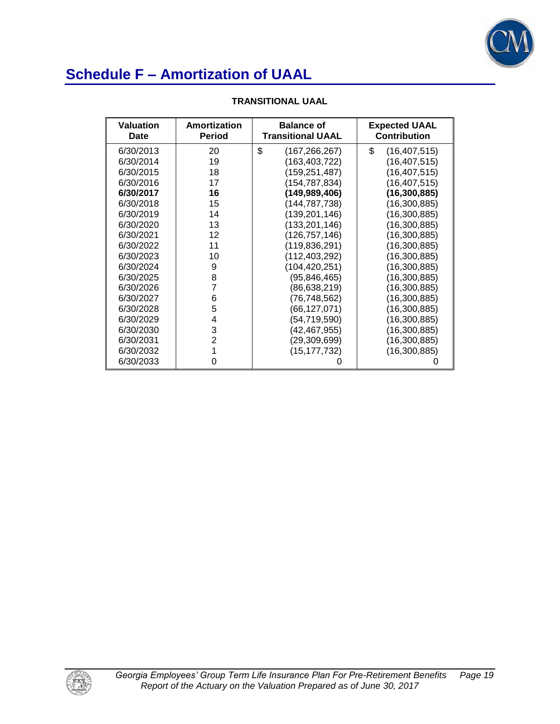

| <b>Valuation</b><br>Date | Amortization<br><b>Period</b> | <b>Balance of</b><br><b>Transitional UAAL</b> | <b>Expected UAAL</b><br><b>Contribution</b> |
|--------------------------|-------------------------------|-----------------------------------------------|---------------------------------------------|
| 6/30/2013                | 20                            | \$<br>(167,266,267)                           | \$<br>(16, 407, 515)                        |
| 6/30/2014                | 19                            | (163, 403, 722)                               | (16, 407, 515)                              |
| 6/30/2015                | 18                            | (159,251,487)                                 | (16, 407, 515)                              |
| 6/30/2016                | 17                            | (154, 787, 834)                               | (16, 407, 515)                              |
| 6/30/2017                | 16                            | (149,989,406)                                 | (16, 300, 885)                              |
| 6/30/2018                | 15                            | (144,787,738)                                 | (16, 300, 885)                              |
| 6/30/2019                | 14                            | (139,201,146)                                 | (16, 300, 885)                              |
| 6/30/2020                | 13                            | (133, 201, 146)                               | (16, 300, 885)                              |
| 6/30/2021                | 12                            | (126, 757, 146)                               | (16,300,885)                                |
| 6/30/2022                | 11                            | (119, 836, 291)                               | (16,300,885)                                |
| 6/30/2023                | 10                            | (112,403,292)                                 | (16,300,885)                                |
| 6/30/2024                | 9                             | (104, 420, 251)                               | (16,300,885)                                |
| 6/30/2025                | 8                             | (95, 846, 465)                                | (16, 300, 885)                              |
| 6/30/2026                | 7                             | (86, 638, 219)                                | (16, 300, 885)                              |
| 6/30/2027                | 6                             | (76,748,562)                                  | (16, 300, 885)                              |
| 6/30/2028                | 5                             | (66,127,071)                                  | (16, 300, 885)                              |
| 6/30/2029                | 4                             | (54, 719, 590)                                | (16, 300, 885)                              |
| 6/30/2030                | 3                             | (42,467,955)                                  | (16, 300, 885)                              |
| 6/30/2031                | $\overline{2}$                | (29,309,699)                                  | (16, 300, 885)                              |
| 6/30/2032                | 1                             | (15, 177, 732)                                | (16,300,885)                                |
| 6/30/2033                | $\Omega$                      |                                               |                                             |

### **TRANSITIONAL UAAL**

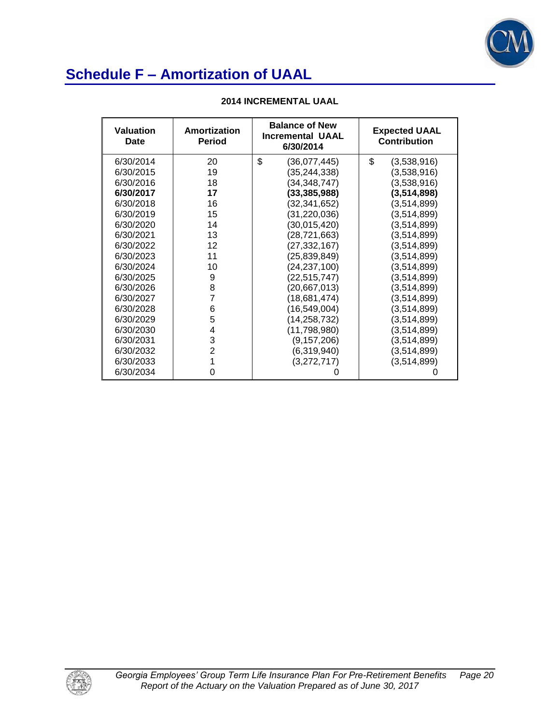

| <b>Valuation</b><br>Date | Amortization<br><b>Period</b> | <b>Balance of New</b><br><b>Incremental UAAL</b><br>6/30/2014 | <b>Expected UAAL</b><br><b>Contribution</b> |
|--------------------------|-------------------------------|---------------------------------------------------------------|---------------------------------------------|
| 6/30/2014                | 20                            | \$<br>(36,077,445)                                            | \$<br>(3,538,916)                           |
| 6/30/2015                | 19                            | (35, 244, 338)                                                | (3,538,916)                                 |
| 6/30/2016                | 18                            | (34, 348, 747)                                                | (3,538,916)                                 |
| 6/30/2017                | 17                            | (33, 385, 988)                                                | (3,514,898)                                 |
| 6/30/2018                | 16                            | (32, 341, 652)                                                | (3,514,899)                                 |
| 6/30/2019                | 15                            | (31, 220, 036)                                                | (3,514,899)                                 |
| 6/30/2020                | 14                            | (30,015,420)                                                  | (3,514,899)                                 |
| 6/30/2021                | 13                            | (28, 721, 663)                                                | (3,514,899)                                 |
| 6/30/2022                | 12                            | (27, 332, 167)                                                | (3,514,899)                                 |
| 6/30/2023                | 11                            | (25, 839, 849)                                                | (3,514,899)                                 |
| 6/30/2024                | 10                            | (24, 237, 100)                                                | (3,514,899)                                 |
| 6/30/2025                | 9                             | (22, 515, 747)                                                | (3,514,899)                                 |
| 6/30/2026                | 8                             | (20, 667, 013)                                                | (3,514,899)                                 |
| 6/30/2027                | $\overline{7}$                | (18,681,474)                                                  | (3,514,899)                                 |
| 6/30/2028                | 6                             | (16, 549, 004)                                                | (3,514,899)                                 |
| 6/30/2029                | 5                             | (14, 258, 732)                                                | (3,514,899)                                 |
| 6/30/2030                | 4                             | (11, 798, 980)                                                | (3,514,899)                                 |
| 6/30/2031                | 3                             | (9, 157, 206)                                                 | (3,514,899)                                 |
| 6/30/2032                | $\overline{2}$                | (6,319,940)                                                   | (3,514,899)                                 |
| 6/30/2033                | 1                             | (3,272,717)                                                   | (3,514,899)                                 |
| 6/30/2034                | 0                             | O                                                             |                                             |

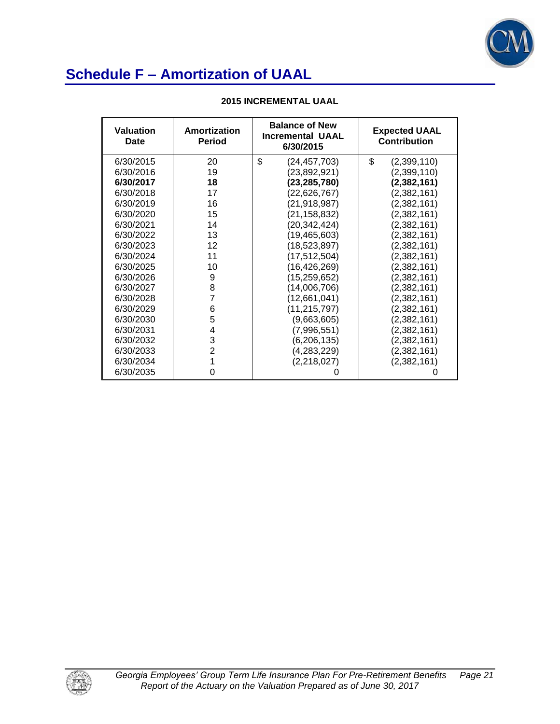

| <b>Valuation</b><br>Date | Amortization<br><b>Period</b> | <b>Balance of New</b><br><b>Incremental UAAL</b><br>6/30/2015 | <b>Expected UAAL</b><br><b>Contribution</b> |
|--------------------------|-------------------------------|---------------------------------------------------------------|---------------------------------------------|
| 6/30/2015                | 20                            | \$<br>(24, 457, 703)                                          | \$<br>(2,399,110)                           |
| 6/30/2016                | 19                            | (23,892,921)                                                  | (2,399,110)                                 |
| 6/30/2017                | 18                            | (23, 285, 780)                                                | (2,382,161)                                 |
| 6/30/2018                | 17                            | (22, 626, 767)                                                | (2,382,161)                                 |
| 6/30/2019                | 16                            | (21, 918, 987)                                                | (2,382,161)                                 |
| 6/30/2020                | 15                            | (21, 158, 832)                                                | (2,382,161)                                 |
| 6/30/2021                | 14                            | (20, 342, 424)                                                | (2,382,161)                                 |
| 6/30/2022                | 13                            | (19, 465, 603)                                                | (2,382,161)                                 |
| 6/30/2023                | 12                            | (18, 523, 897)                                                | (2,382,161)                                 |
| 6/30/2024                | 11                            | (17, 512, 504)                                                | (2,382,161)                                 |
| 6/30/2025                | 10                            | (16, 426, 269)                                                | (2,382,161)                                 |
| 6/30/2026                | 9                             | (15, 259, 652)                                                | (2,382,161)                                 |
| 6/30/2027                | 8                             | (14,006,706)                                                  | (2,382,161)                                 |
| 6/30/2028                | $\overline{7}$                | (12,661,041)                                                  | (2,382,161)                                 |
| 6/30/2029                | 6                             | (11, 215, 797)                                                | (2,382,161)                                 |
| 6/30/2030                | 5                             | (9,663,605)                                                   | (2,382,161)                                 |
| 6/30/2031                | 4                             | (7,996,551)                                                   | (2,382,161)                                 |
| 6/30/2032                | 3                             | (6, 206, 135)                                                 | (2,382,161)                                 |
| 6/30/2033                | $\overline{2}$                | (4,283,229)                                                   | (2,382,161)                                 |
| 6/30/2034                | 1                             | (2,218,027)                                                   | (2,382,161)                                 |
| 6/30/2035                | 0                             | 0                                                             |                                             |

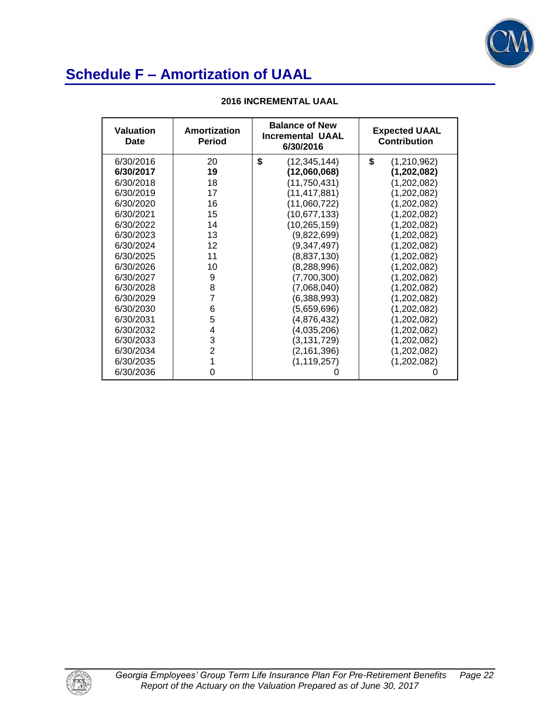

| <b>Valuation</b><br>Date | Amortization<br><b>Period</b> | <b>Balance of New</b><br><b>Incremental UAAL</b><br>6/30/2016 | <b>Expected UAAL</b><br><b>Contribution</b> |
|--------------------------|-------------------------------|---------------------------------------------------------------|---------------------------------------------|
| 6/30/2016                | 20                            | \$<br>(12, 345, 144)                                          | \$<br>(1,210,962)                           |
| 6/30/2017                | 19                            | (12,060,068)                                                  | (1,202,082)                                 |
| 6/30/2018                | 18                            | (11, 750, 431)                                                | (1,202,082)                                 |
| 6/30/2019                | 17                            | (11, 417, 881)                                                | (1,202,082)                                 |
| 6/30/2020                | 16                            | (11,060,722)                                                  | (1,202,082)                                 |
| 6/30/2021                | 15                            | (10, 677, 133)                                                | (1,202,082)                                 |
| 6/30/2022                | 14                            | (10, 265, 159)                                                | (1,202,082)                                 |
| 6/30/2023                | 13                            | (9,822,699)                                                   | (1,202,082)                                 |
| 6/30/2024                | 12                            | (9,347,497)                                                   | (1,202,082)                                 |
| 6/30/2025                | 11                            | (8,837,130)                                                   | (1,202,082)                                 |
| 6/30/2026                | 10                            | (8, 288, 996)                                                 | (1,202,082)                                 |
| 6/30/2027                | 9                             | (7,700,300)                                                   | (1,202,082)                                 |
| 6/30/2028                | 8                             | (7,068,040)                                                   | (1,202,082)                                 |
| 6/30/2029                | $\overline{7}$                | (6,388,993)                                                   | (1,202,082)                                 |
| 6/30/2030                | 6                             | (5,659,696)                                                   | (1,202,082)                                 |
| 6/30/2031                | 5                             | (4,876,432)                                                   | (1,202,082)                                 |
| 6/30/2032                | 4                             | (4,035,206)                                                   | (1,202,082)                                 |
| 6/30/2033                | 3                             | (3,131,729)                                                   | (1,202,082)                                 |
| 6/30/2034                | $\overline{2}$                | (2, 161, 396)                                                 | (1,202,082)                                 |
| 6/30/2035                | 1                             | (1, 119, 257)                                                 | (1,202,082)                                 |
| 6/30/2036                | 0                             | O                                                             |                                             |

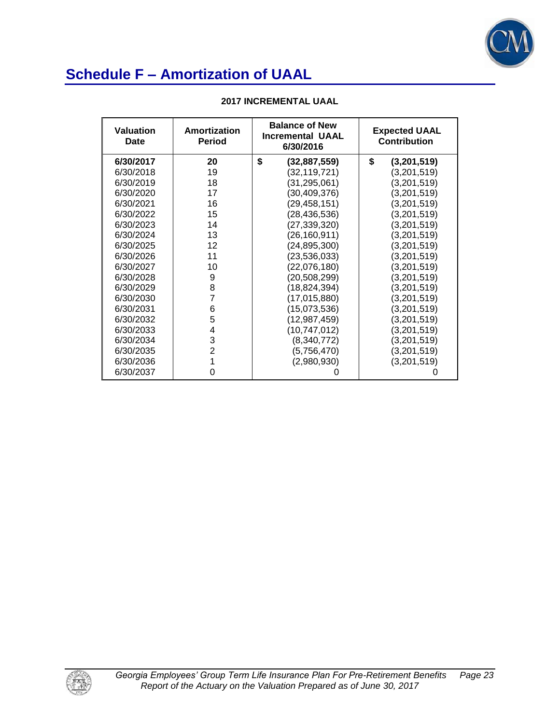

| Valuation<br>Date | <b>Balance of New</b><br>Amortization<br><b>Incremental UAAL</b><br><b>Period</b><br>6/30/2016 |                      | <b>Expected UAAL</b><br><b>Contribution</b> |
|-------------------|------------------------------------------------------------------------------------------------|----------------------|---------------------------------------------|
| 6/30/2017         | 20                                                                                             | \$<br>(32, 887, 559) | \$<br>(3,201,519)                           |
| 6/30/2018         | 19                                                                                             | (32, 119, 721)       | (3,201,519)                                 |
| 6/30/2019         | 18                                                                                             | (31, 295, 061)       | (3,201,519)                                 |
| 6/30/2020         | 17                                                                                             | (30, 409, 376)       | (3,201,519)                                 |
| 6/30/2021         | 16                                                                                             | (29, 458, 151)       | (3,201,519)                                 |
| 6/30/2022         | 15                                                                                             | (28, 436, 536)       | (3,201,519)                                 |
| 6/30/2023         | 14                                                                                             | (27, 339, 320)       | (3,201,519)                                 |
| 6/30/2024         | 13                                                                                             | (26, 160, 911)       | (3,201,519)                                 |
| 6/30/2025         | 12                                                                                             | (24, 895, 300)       | (3,201,519)                                 |
| 6/30/2026         | 11                                                                                             | (23, 536, 033)       | (3,201,519)                                 |
| 6/30/2027         | 10                                                                                             | (22,076,180)         | (3,201,519)                                 |
| 6/30/2028         | 9                                                                                              | (20,508,299)         | (3,201,519)                                 |
| 6/30/2029         | 8                                                                                              | (18, 824, 394)       | (3,201,519)                                 |
| 6/30/2030         | $\overline{7}$                                                                                 | (17, 015, 880)       | (3,201,519)                                 |
| 6/30/2031         | 6                                                                                              | (15,073,536)         | (3,201,519)                                 |
| 6/30/2032         | 5                                                                                              | (12, 987, 459)       | (3,201,519)                                 |
| 6/30/2033         | 4                                                                                              | (10, 747, 012)       | (3,201,519)                                 |
| 6/30/2034         | 3                                                                                              | (8,340,772)          | (3,201,519)                                 |
| 6/30/2035         | $\overline{2}$                                                                                 | (5,756,470)          | (3,201,519)                                 |
| 6/30/2036         | 1                                                                                              | (2,980,930)          | (3,201,519)                                 |
| 6/30/2037         | 0                                                                                              |                      |                                             |

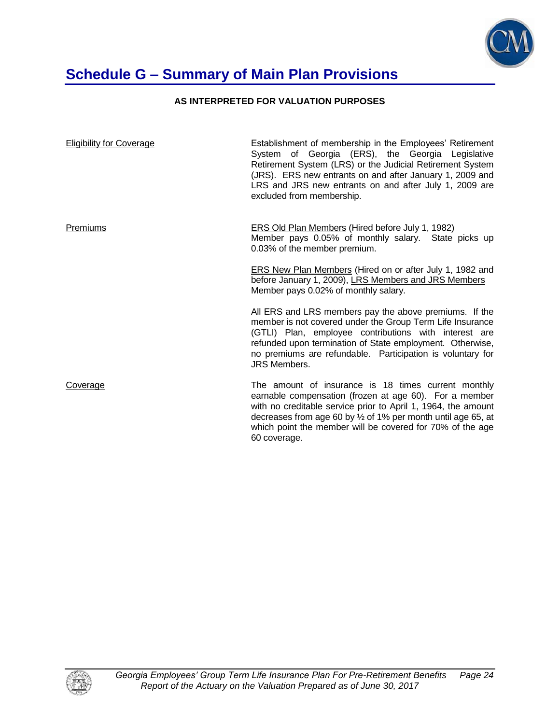

# **Schedule G – Summary of Main Plan Provisions**

### **AS INTERPRETED FOR VALUATION PURPOSES**

| <b>Eligibility for Coverage</b> | Establishment of membership in the Employees' Retirement<br>System of Georgia (ERS), the Georgia Legislative<br>Retirement System (LRS) or the Judicial Retirement System<br>(JRS). ERS new entrants on and after January 1, 2009 and<br>LRS and JRS new entrants on and after July 1, 2009 are<br>excluded from membership.           |
|---------------------------------|----------------------------------------------------------------------------------------------------------------------------------------------------------------------------------------------------------------------------------------------------------------------------------------------------------------------------------------|
| Premiums                        | <b>ERS Old Plan Members (Hired before July 1, 1982)</b><br>Member pays 0.05% of monthly salary. State picks up<br>0.03% of the member premium.                                                                                                                                                                                         |
|                                 | <b>ERS New Plan Members (Hired on or after July 1, 1982 and</b><br>before January 1, 2009), LRS Members and JRS Members<br>Member pays 0.02% of monthly salary.                                                                                                                                                                        |
|                                 | All ERS and LRS members pay the above premiums. If the<br>member is not covered under the Group Term Life Insurance<br>(GTLI) Plan, employee contributions with interest are<br>refunded upon termination of State employment. Otherwise,<br>no premiums are refundable. Participation is voluntary for<br><b>JRS Members.</b>         |
| Coverage                        | The amount of insurance is 18 times current monthly<br>earnable compensation (frozen at age 60). For a member<br>with no creditable service prior to April 1, 1964, the amount<br>decreases from age 60 by $\frac{1}{2}$ of 1% per month until age 65, at<br>which point the member will be covered for 70% of the age<br>60 coverage. |